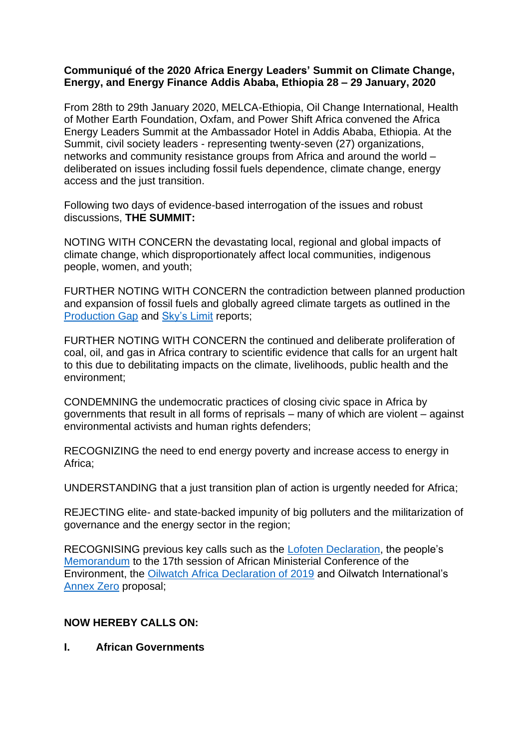### **Communiqué of the 2020 Africa Energy Leaders' Summit on Climate Change, Energy, and Energy Finance Addis Ababa, Ethiopia 28 – 29 January, 2020**

From 28th to 29th January 2020, MELCA-Ethiopia, Oil Change International, Health of Mother Earth Foundation, Oxfam, and Power Shift Africa convened the Africa Energy Leaders Summit at the Ambassador Hotel in Addis Ababa, Ethiopia. At the Summit, civil society leaders - representing twenty-seven (27) organizations, networks and community resistance groups from Africa and around the world – deliberated on issues including fossil fuels dependence, climate change, energy access and the just transition.

Following two days of evidence-based interrogation of the issues and robust discussions, **THE SUMMIT:**

NOTING WITH CONCERN the devastating local, regional and global impacts of climate change, which disproportionately affect local communities, indigenous people, women, and youth;

FURTHER NOTING WITH CONCERN the contradiction between planned production and expansion of fossil fuels and globally agreed climate targets as outlined in the [Production Gap](http://productiongap.org/) and [Sky's Limit](http://priceofoil.org/2016/09/22/the-skys-limit-report/) reports;

FURTHER NOTING WITH CONCERN the continued and deliberate proliferation of coal, oil, and gas in Africa contrary to scientific evidence that calls for an urgent halt to this due to debilitating impacts on the climate, livelihoods, public health and the environment;

CONDEMNING the undemocratic practices of closing civic space in Africa by governments that result in all forms of reprisals – many of which are violent – against environmental activists and human rights defenders;

RECOGNIZING the need to end energy poverty and increase access to energy in Africa;

UNDERSTANDING that a just transition plan of action is urgently needed for Africa;

REJECTING elite- and state-backed impunity of big polluters and the militarization of governance and the energy sector in the region;

RECOGNISING previous key calls such as the [Lofoten Declaration,](http://www.lofotendeclaration.org/) the people's [Memorandum](http://www.groundwork.org.za/archives/2019/news20191114-AMCEN_memo.php) to the 17th session of African Ministerial Conference of the Environment, the [Oilwatch Africa Declaration of 2019](https://homef.org/2019/08/12/stopping-the-extractivist-addiction/) and Oilwatch International's [Annex Zero](http://www.oilwatch.org/en/keep-the-oil-in-the-soil/679-it-is-time-to-create-annex-0) proposal;

## **NOW HEREBY CALLS ON:**

#### **I. African Governments**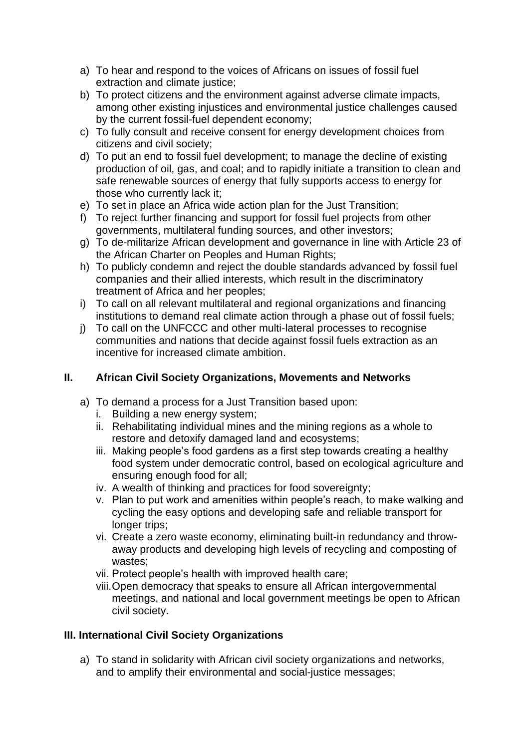- a) To hear and respond to the voices of Africans on issues of fossil fuel extraction and climate justice;
- b) To protect citizens and the environment against adverse climate impacts, among other existing injustices and environmental justice challenges caused by the current fossil-fuel dependent economy;
- c) To fully consult and receive consent for energy development choices from citizens and civil society;
- d) To put an end to fossil fuel development; to manage the decline of existing production of oil, gas, and coal; and to rapidly initiate a transition to clean and safe renewable sources of energy that fully supports access to energy for those who currently lack it;
- e) To set in place an Africa wide action plan for the Just Transition;
- f) To reject further financing and support for fossil fuel projects from other governments, multilateral funding sources, and other investors;
- g) To de-militarize African development and governance in line with Article 23 of the African Charter on Peoples and Human Rights;
- h) To publicly condemn and reject the double standards advanced by fossil fuel companies and their allied interests, which result in the discriminatory treatment of Africa and her peoples;
- i) To call on all relevant multilateral and regional organizations and financing institutions to demand real climate action through a phase out of fossil fuels;
- j) To call on the UNFCCC and other multi-lateral processes to recognise communities and nations that decide against fossil fuels extraction as an incentive for increased climate ambition.

# **II. African Civil Society Organizations, Movements and Networks**

- a) To demand a process for a Just Transition based upon:
	- i. Building a new energy system;
	- ii. Rehabilitating individual mines and the mining regions as a whole to restore and detoxify damaged land and ecosystems;
	- iii. Making people's food gardens as a first step towards creating a healthy food system under democratic control, based on ecological agriculture and ensuring enough food for all;
	- iv. A wealth of thinking and practices for food sovereignty;
	- v. Plan to put work and amenities within people's reach, to make walking and cycling the easy options and developing safe and reliable transport for longer trips;
	- vi. Create a zero waste economy, eliminating built-in redundancy and throwaway products and developing high levels of recycling and composting of wastes;
	- vii. Protect people's health with improved health care;
	- viii.Open democracy that speaks to ensure all African intergovernmental meetings, and national and local government meetings be open to African civil society.

# **III. International Civil Society Organizations**

a) To stand in solidarity with African civil society organizations and networks, and to amplify their environmental and social-justice messages;